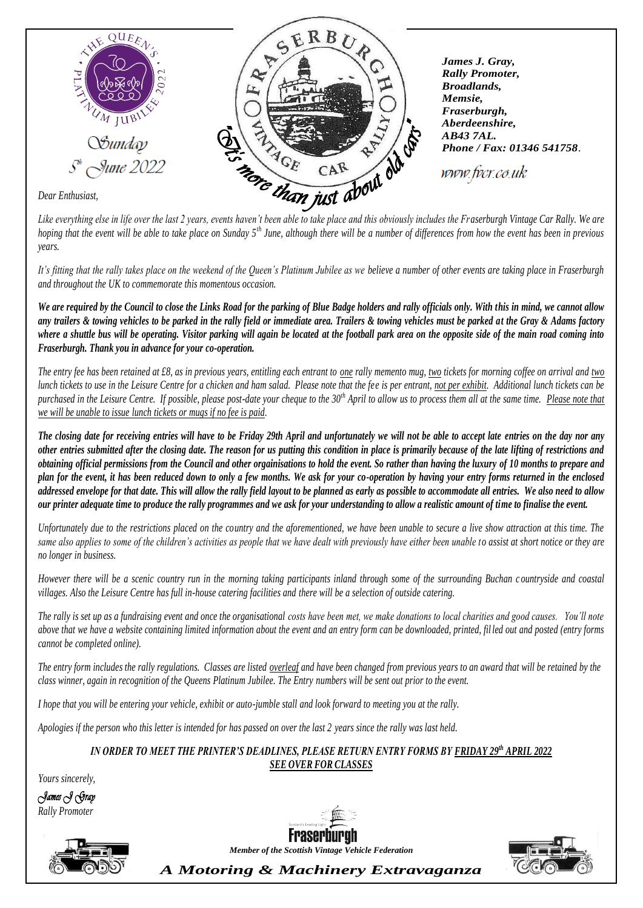

*Dear Enthusiast,*

*Like everything else in life over the last 2 years, events haven't been able to take place and this obviously includes the Fraserburgh Vintage Car Rally. We are hoping that the event will be able to take place on Sunday 5<sup>th</sup> June, although there will be a number of differences from how the event has been in previous years.*

*It's fitting that the rally takes place on the weekend of the Queen's Platinum Jubilee as we believe a number of other events are taking place in Fraserburgh and throughout the UK to commemorate this momentous occasion.* 

*We are required by the Council to close the Links Road for the parking of Blue Badge holders and rally officials only. With this in mind, we cannot allow any trailers & towing vehicles to be parked in the rally field or immediate area. Trailers & towing vehicles must be parked at the Gray & Adams factory where a shuttle bus will be operating. Visitor parking will again be located at the football park area on the opposite side of the main road coming into Fraserburgh. Thank you in advance for your co-operation.*

*The entry fee has been retained at £8, as in previous years, entitling each entrant to one rally memento mug, two tickets for morning coffee on arrival and two lunch tickets to use in the Leisure Centre for a chicken and ham salad. Please note that the fee is per entrant, not per exhibit. Additional lunch tickets can be purchased in the Leisure Centre. If possible, please post-date your cheque to the 30th April to allow us to process them all at the same time. Please note that we will be unable to issue lunch tickets or mugs if no fee is paid.*

*The closing date for receiving entries will have to be Friday 29th April and unfortunately we will not be able to accept late entries on the day nor any other entries submitted after the closing date. The reason for us putting this condition in place is primarily because of the late lifting of restrictions and obtaining official permissions from the Council and other orgainisations to hold the event. So rather than having the luxury of 10 months to prepare and plan for the event, it has been reduced down to only a few months. We ask for your co-operation by having your entry forms returned in the enclosed addressed envelope for that date. This will allow the rally field layout to be planned as early as possible to accommodate all entries. We also need to allow our printer adequate time to produce the rally programmes and we ask for your understanding to allow a realistic amount of time to finalise the event.* 

*Unfortunately due to the restrictions placed on the country and the aforementioned, we have been unable to secure a live show attraction at this time. The same also applies to some of the children's activities as people that we have dealt with previously have either been unable to assist at short notice or they are no longer in business.* 

*However there will be a scenic country run in the morning taking participants inland through some of the surrounding Buchan c ountryside and coastal villages. Also the Leisure Centre has full in-house catering facilities and there will be a selection of outside catering.*

*The rally is set up as a fundraising event and once the organisational costs have been met, we make donations to local charities and good causes. You'll note above that we have a website containing limited information about the event and an entry form can be downloaded, printed, fil led out and posted (entry forms cannot be completed online).*

The entry form includes the rally regulations. Classes are listed overleaf and have been changed from previous years to an award that will be retained by the *class winner, again in recognition of the Queens Platinum Jubilee. The Entry numbers will be sent out prior to the event.*

*I hope that you will be entering your vehicle, exhibit or auto-jumble stall and look forward to meeting you at the rally.* 

*Apologies if the person who this letter is intended for has passed on over the last 2 years since the rally was last held.*

## *IN ORDER TO MEET THE PRINTER'S DEADLINES, PLEASE RETURN ENTRY FORMS BY FRIDAY 29th APRIL 2022 SEE OVER FOR CLASSES*

*Yours sincerely,*

*James J Gray Rally Promoter*





*Member of the Scottish Vintage Vehicle Federation*



*A Motoring & Machinery Extravaganza*